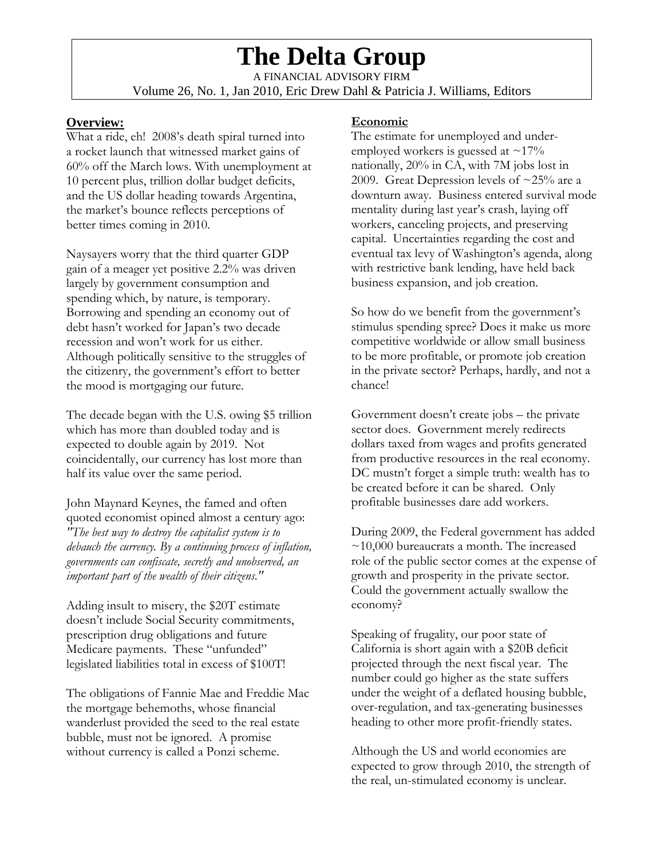# **The Delta Group**

A FINANCIAL ADVISORY FIRM Volume 26, No. 1, Jan 2010, Eric Drew Dahl & Patricia J. Williams, Editors

## **Overview:**

What a ride, eh! 2008's death spiral turned into a rocket launch that witnessed market gains of 60% off the March lows. With unemployment at 10 percent plus, trillion dollar budget deficits, and the US dollar heading towards Argentina, the market's bounce reflects perceptions of better times coming in 2010.

Naysayers worry that the third quarter GDP gain of a meager yet positive 2.2% was driven largely by government consumption and spending which, by nature, is temporary. Borrowing and spending an economy out of debt hasn't worked for Japan's two decade recession and won't work for us either. Although politically sensitive to the struggles of the citizenry, the government's effort to better the mood is mortgaging our future.

The decade began with the U.S. owing \$5 trillion which has more than doubled today and is expected to double again by 2019. Not coincidentally, our currency has lost more than half its value over the same period.

John Maynard Keynes, the famed and often quoted economist opined almost a century ago: *"The best way to destroy the capitalist system is to debauch the currency. By a continuing process of inflation, governments can confiscate, secretly and unobserved, an important part of the wealth of their citizens."* 

Adding insult to misery, the \$20T estimate doesn't include Social Security commitments, prescription drug obligations and future Medicare payments. These "unfunded" legislated liabilities total in excess of \$100T!

The obligations of Fannie Mae and Freddie Mac the mortgage behemoths, whose financial wanderlust provided the seed to the real estate bubble, must not be ignored. A promise without currency is called a Ponzi scheme.

## **Economic**

The estimate for unemployed and underemployed workers is guessed at  $\sim$ 17% nationally, 20% in CA, with 7M jobs lost in 2009. Great Depression levels of  $\approx$  25% are a downturn away. Business entered survival mode mentality during last year's crash, laying off workers, canceling projects, and preserving capital. Uncertainties regarding the cost and eventual tax levy of Washington's agenda, along with restrictive bank lending, have held back business expansion, and job creation.

So how do we benefit from the government's stimulus spending spree? Does it make us more competitive worldwide or allow small business to be more profitable, or promote job creation in the private sector? Perhaps, hardly, and not a chance!

Government doesn't create jobs – the private sector does. Government merely redirects dollars taxed from wages and profits generated from productive resources in the real economy. DC mustn't forget a simple truth: wealth has to be created before it can be shared. Only profitable businesses dare add workers.

During 2009, the Federal government has added  $\sim$ 10,000 bureaucrats a month. The increased role of the public sector comes at the expense of growth and prosperity in the private sector. Could the government actually swallow the economy?

Speaking of frugality, our poor state of California is short again with a \$20B deficit projected through the next fiscal year. The number could go higher as the state suffers under the weight of a deflated housing bubble, over-regulation, and tax-generating businesses heading to other more profit-friendly states.

Although the US and world economies are expected to grow through 2010, the strength of the real, un-stimulated economy is unclear.